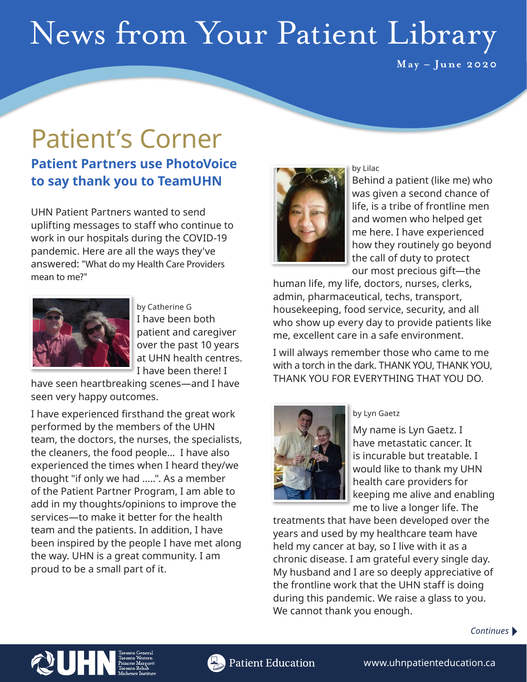# News from Your Patient Library

**May – June 2020**

# Patient's Corner

### **Patient Partners use PhotoVoice to say thank you to TeamUHN**

UHN Patient Partners wanted to send uplifting messages to staff who continue to work in our hospitals during the COVID-19 pandemic. Here are all the ways they've answered: "What do my Health Care Providers mean to me?"



by Catherine G I have been both patient and caregiver over the past 10 years at UHN health centres. I have been there! I

have seen heartbreaking scenes—and I have seen very happy outcomes.

I have experienced firsthand the great work performed by the members of the UHN team, the doctors, the nurses, the specialists, the cleaners, the food people... I have also experienced the times when I heard they/we thought "if only we had .....". As a member of the Patient Partner Program, I am able to add in my thoughts/opinions to improve the services—to make it better for the health team and the patients. In addition, I have been inspired by the people I have met along the way. UHN is a great community. I am proud to be a small part of it.



by Lilac Behind a patient (like me) who was given a second chance of life, is a tribe of frontline men and women who helped get me here. I have experienced how they routinely go beyond the call of duty to protect our most precious gift—the

human life, my life, doctors, nurses, clerks, admin, pharmaceutical, techs, transport, housekeeping, food service, security, and all who show up every day to provide patients like me, excellent care in a safe environment.

I will always remember those who came to me with a torch in the dark. THANK YOU, THANK YOU, THANK YOU FOR EVERYTHING THAT YOU DO.



#### by Lyn Gaetz

My name is Lyn Gaetz. I have metastatic cancer. It is incurable but treatable. I would like to thank my UHN health care providers for keeping me alive and enabling me to live a longer life. The

treatments that have been developed over the years and used by my healthcare team have held my cancer at bay, so I live with it as a chronic disease. I am grateful every single day. My husband and I are so deeply appreciative of the frontline work that the UHN staff is doing during this pandemic. We raise a glass to you. We cannot thank you enough.

#### *Continues*



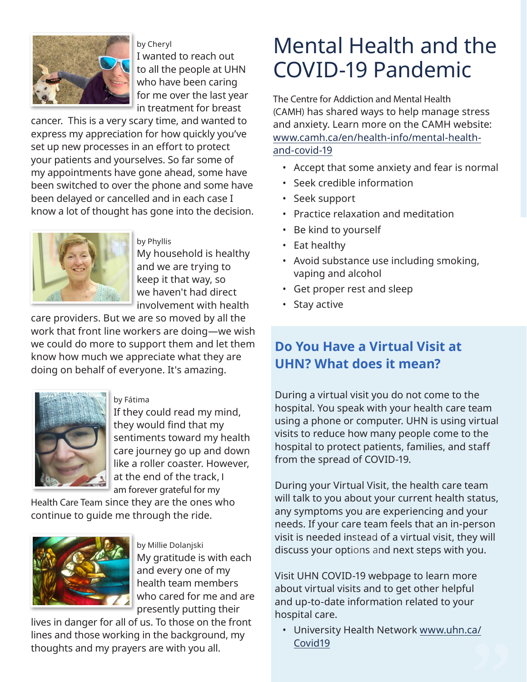

by Cheryl I wanted to reach out to all the people at UHN who have been caring for me over the last year in treatment for breast

cancer. This is a very scary time, and wanted to express my appreciation for how quickly you've set up new processes in an effort to protect your patients and yourselves. So far some of my appointments have gone ahead, some have been switched to over the phone and some have been delayed or cancelled and in each case I know a lot of thought has gone into the decision.



by Phyllis My household is healthy and we are trying to keep it that way, so we haven't had direct involvement with health

care providers. But we are so moved by all the work that front line workers are doing—we wish we could do more to support them and let them know how much we appreciate what they are doing on behalf of everyone. It's amazing.



by Fátima

If they could read my mind, they would find that my sentiments toward my health care journey go up and down like a roller coaster. However, at the end of the track, I am forever grateful for my

Health Care Team since they are the ones who continue to guide me through the ride.



by Millie Dolanjski My gratitude is with each and every one of my health team members who cared for me and are presently putting their

lives in danger for all of us. To those on the front lines and those working in the background, my thoughts and my prayers are with you all.

## Mental Health and the COVID-19 Pandemic

The Centre for Addiction and Mental Health (CAMH) has shared ways to help manage stress and anxiety. Learn more on the CAMH website: [www.camh.ca/en/health-info/mental-health](http://www.camh.ca/en/health-info/mental-health-and-covid-19)[and-covid-19](http://www.camh.ca/en/health-info/mental-health-and-covid-19)

- Accept that some anxiety and fear is normal
- Seek credible information
- Seek support
- Practice relaxation and meditation
- Be kind to yourself
- Eat healthy
- Avoid substance use including smoking, vaping and alcohol
- Get proper rest and sleep
- Stay active

### **Do You Have a Virtual Visit at UHN? What does it mean?**

During a virtual visit you do not come to the hospital. You speak with your health care team using a phone or computer. UHN is using virtual visits to reduce how many people come to the hospital to protect patients, families, and staff from the spread of COVID-19.

During your Virtual Visit, the health care team will talk to you about your current health status, any symptoms you are experiencing and your needs. If your care team feels that an in-person visit is needed instead of a virtual visit, they will discuss your options and next steps with you.

Visit UHN COVID-19 webpage to learn more about virtual visits and to get other helpful and up-to-date information related to your hospital care.

• University Health Network [www.uhn.ca/](http://www.uhn.ca/Covid19) [Covid19](http://www.uhn.ca/Covid19)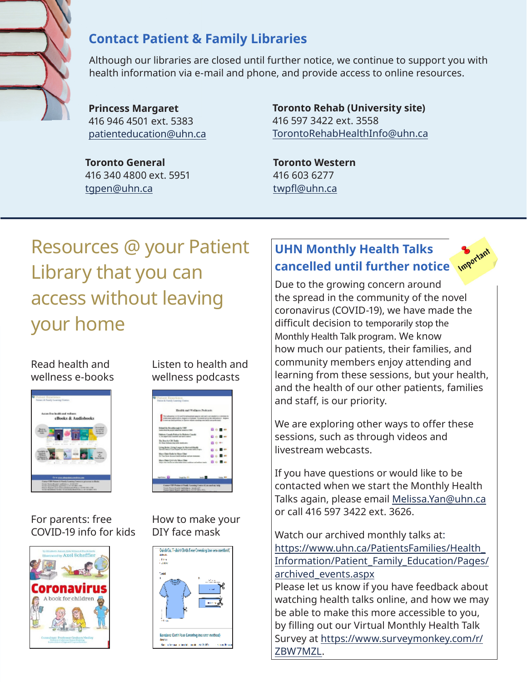

### **Contact Patient & Family Libraries**

Although our libraries are closed until further notice, we continue to support you with health information via e-mail and phone, and provide access to online resources.

**Princess Margaret** 416 946 4501 ext. 5383 [patienteducation@uhn.ca](mailto:patienteducation%40uhn.ca?subject=)

**Toronto General** 416 340 4800 ext. 5951 [tgpen@uhn.ca](mailto:tgpen%40uhn.ca?subject=)

**Toronto Rehab (University site)** 416 597 3422 ext. 3558 [TorontoRehabHealthInfo@uhn.ca](mailto:TorontoRehabHealthInfo%40uhn.ca?subject=)

**Toronto Western** 416 603 6277 [twpfl@uhn.ca](mailto:twpfl%40uhn.ca?subject=)

## Resources @ your Patient Library that you can access without leaving your home

#### Read health and wellness e-books



For parents: free COVID-19 info for kids



Listen to health and wellness podcasts



How to make your DIY face mask



### **UHN Monthly Health Talks cancelled until further notice where**

Due to the growing concern around the spread in the community of the novel coronavirus (COVID-19), we have made the difficult decision to temporarily stop the Monthly Health Talk program. We know how much our patients, their families, and community members enjoy attending and learning from these sessions, but your health, and the health of our other patients, families and staff, is our priority.

We are exploring other ways to offer these sessions, such as through videos and livestream webcasts.

If you have questions or would like to be contacted when we start the Monthly Health Talks again, please email [Melissa.Yan@uhn.ca](mailto:Melissa.Yan%40uhn.ca?subject=) or call 416 597 3422 ext. 3626.

Watch our archived monthly talks at: [https://www.uhn.ca/PatientsFamilies/Health\\_](https://www.uhn.ca/PatientsFamilies/Health_Information/Patient_Family_Education/Pages/archived_events.aspx) [Information/Patient\\_Family\\_Education/Pages/](https://www.uhn.ca/PatientsFamilies/Health_Information/Patient_Family_Education/Pages/archived_events.aspx) [archived\\_events.aspx](https://www.uhn.ca/PatientsFamilies/Health_Information/Patient_Family_Education/Pages/archived_events.aspx)

Please let us know if you have feedback about watching health talks online, and how we may be able to make this more accessible to you, by filling out our Virtual Monthly Health Talk Survey at [https://www.surveymonkey.com/r/](https://www.surveymonkey.com/r/ZBW7MZL) [ZBW7MZL](https://www.surveymonkey.com/r/ZBW7MZL).